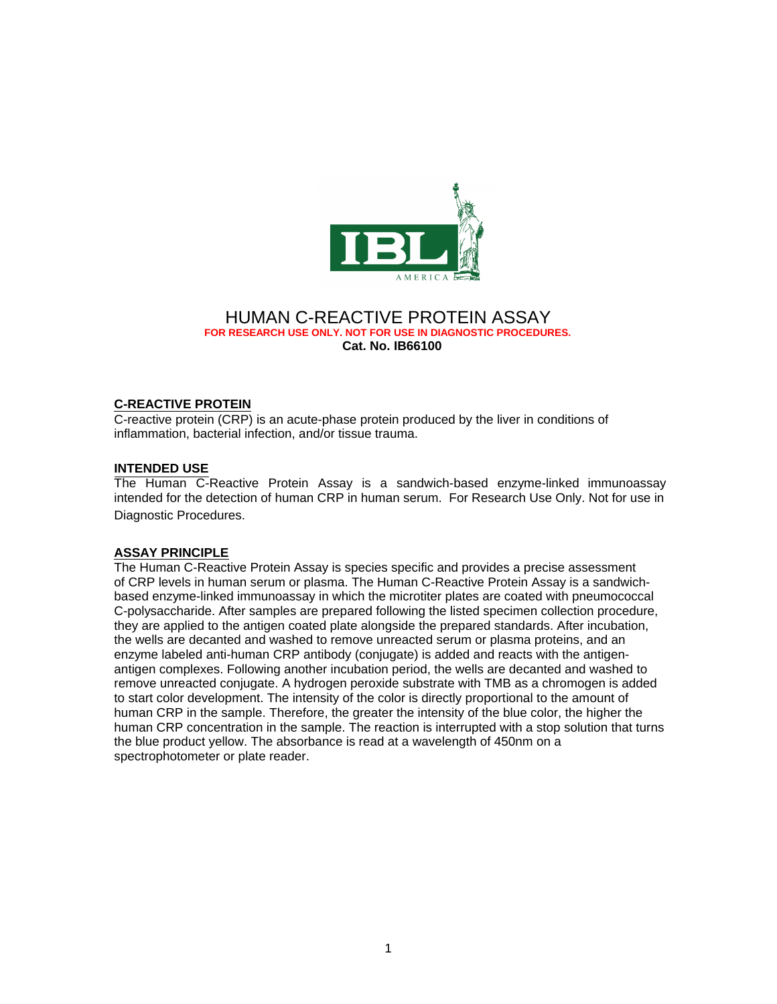

# HUMAN C-REACTIVE PROTEIN ASSAY **FOR RESEARCH USE ONLY. NOT FOR USE IN DIAGNOSTIC PROCEDURES. Cat. No. IB66100**

# **C-REACTIVE PROTEIN**

C-reactive protein (CRP) is an acute-phase protein produced by the liver in conditions of inflammation, bacterial infection, and/or tissue trauma.

## **INTENDED USE**

The Human C-Reactive Protein Assay is a sandwich-based enzyme-linked immunoassay intended for the detection of human CRP in human serum. For Research Use Only. Not for use in Diagnostic Procedures.

## **ASSAY PRINCIPLE**

The Human C-Reactive Protein Assay is species specific and provides a precise assessment of CRP levels in human serum or plasma. The Human C-Reactive Protein Assay is a sandwichbased enzyme-linked immunoassay in which the microtiter plates are coated with pneumococcal C-polysaccharide. After samples are prepared following the listed specimen collection procedure, they are applied to the antigen coated plate alongside the prepared standards. After incubation, the wells are decanted and washed to remove unreacted serum or plasma proteins, and an enzyme labeled anti-human CRP antibody (conjugate) is added and reacts with the antigenantigen complexes. Following another incubation period, the wells are decanted and washed to remove unreacted conjugate. A hydrogen peroxide substrate with TMB as a chromogen is added to start color development. The intensity of the color is directly proportional to the amount of human CRP in the sample. Therefore, the greater the intensity of the blue color, the higher the human CRP concentration in the sample. The reaction is interrupted with a stop solution that turns the blue product yellow. The absorbance is read at a wavelength of 450nm on a spectrophotometer or plate reader.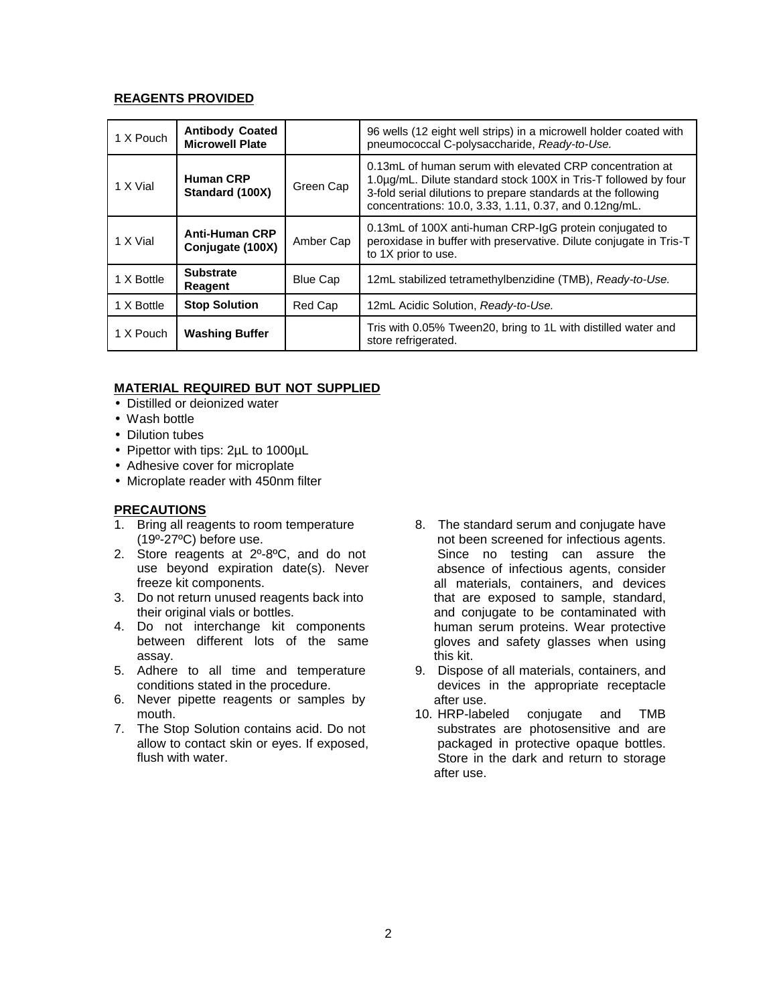# **REAGENTS PROVIDED**

| 1 X Pouch  | <b>Antibody Coated</b><br><b>Microwell Plate</b> |                 | 96 wells (12 eight well strips) in a microwell holder coated with<br>pneumococcal C-polysaccharide, Ready-to-Use.                                                                                                                                      |
|------------|--------------------------------------------------|-----------------|--------------------------------------------------------------------------------------------------------------------------------------------------------------------------------------------------------------------------------------------------------|
| 1 X Vial   | <b>Human CRP</b><br>Standard (100X)              | Green Cap       | 0.13mL of human serum with elevated CRP concentration at<br>1.0µg/mL. Dilute standard stock 100X in Tris-T followed by four<br>3-fold serial dilutions to prepare standards at the following<br>concentrations: 10.0, 3.33, 1.11, 0.37, and 0.12ng/mL. |
| 1 X Vial   | <b>Anti-Human CRP</b><br>Conjugate (100X)        | Amber Cap       | 0.13mL of 100X anti-human CRP-IgG protein conjugated to<br>peroxidase in buffer with preservative. Dilute conjugate in Tris-T<br>to 1X prior to use.                                                                                                   |
| 1 X Bottle | <b>Substrate</b><br><b>Reagent</b>               | <b>Blue Cap</b> | 12mL stabilized tetramethylbenzidine (TMB), Ready-to-Use.                                                                                                                                                                                              |
| 1 X Bottle | <b>Stop Solution</b>                             | Red Cap         | 12mL Acidic Solution, Ready-to-Use.                                                                                                                                                                                                                    |
| 1 X Pouch  | <b>Washing Buffer</b>                            |                 | Tris with 0.05% Tween20, bring to 1L with distilled water and<br>store refrigerated.                                                                                                                                                                   |

# **MATERIAL REQUIRED BUT NOT SUPPLIED**

- Distilled or deionized water
- Wash bottle
- Dilution tubes
- Pipettor with tips: 2µL to 1000µL
- Adhesive cover for microplate
- Microplate reader with 450nm filter

# **PRECAUTIONS**

- 1. Bring all reagents to room temperature (19º-27ºC) before use.
- 2. Store reagents at 2º-8ºC, and do not use beyond expiration date(s). Never freeze kit components.
- 3. Do not return unused reagents back into their original vials or bottles.
- 4. Do not interchange kit components between different lots of the same assay.
- 5. Adhere to all time and temperature conditions stated in the procedure.
- 6. Never pipette reagents or samples by mouth.
- 7. The Stop Solution contains acid. Do not allow to contact skin or eyes. If exposed, flush with water.
- 8. The standard serum and conjugate have not been screened for infectious agents. Since no testing can assure the absence of infectious agents, consider all materials, containers, and devices that are exposed to sample, standard, and conjugate to be contaminated with human serum proteins. Wear protective gloves and safety glasses when using this kit.
- 9. Dispose of all materials, containers, and devices in the appropriate receptacle after use.
- 10. HRP-labeled conjugate and TMB substrates are photosensitive and are packaged in protective opaque bottles. Store in the dark and return to storage after use.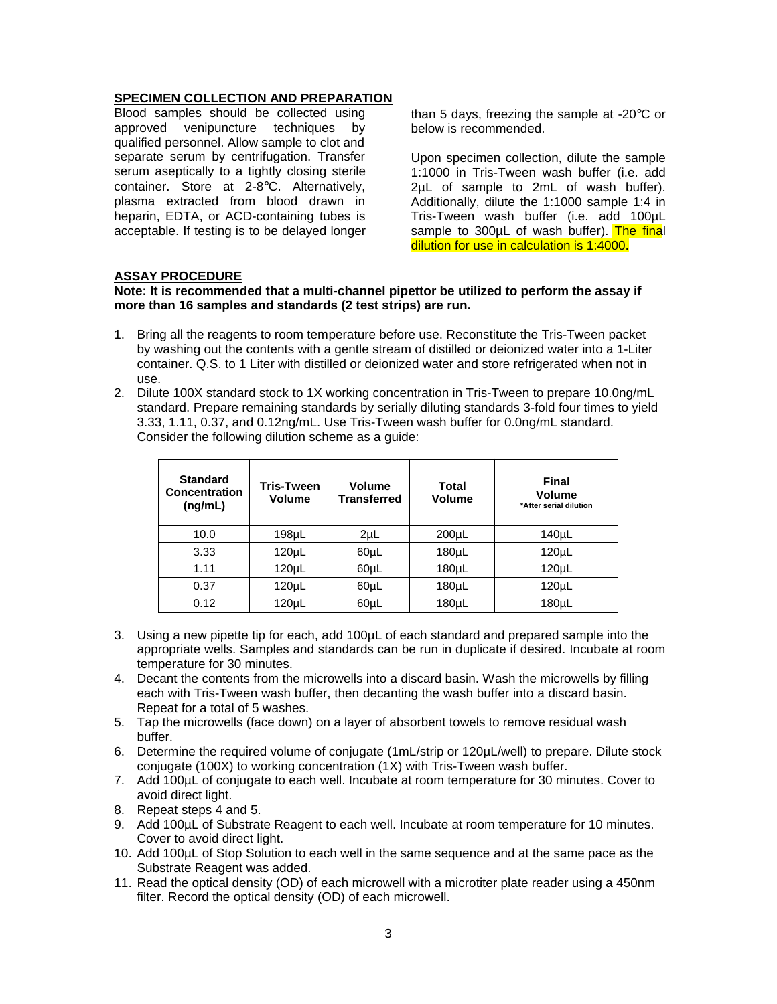# **SPECIMEN COLLECTION AND PREPARATION**

Blood samples should be collected using approved venipuncture techniques by qualified personnel. Allow sample to clot and separate serum by centrifugation. Transfer serum aseptically to a tightly closing sterile container. Store at 2-8°C. Alternatively, plasma extracted from blood drawn in heparin, EDTA, or ACD-containing tubes is acceptable. If testing is to be delayed longer than 5 days, freezing the sample at -20°C or below is recommended.

Upon specimen collection, dilute the sample 1:1000 in Tris-Tween wash buffer (i.e. add 2µL of sample to 2mL of wash buffer). Additionally, dilute the 1:1000 sample 1:4 in Tris-Tween wash buffer (i.e. add 100µL sample to 300µL of wash buffer). The final dilution for use in calculation is 1:4000.

# **ASSAY PROCEDURE**

#### **Note: It is recommended that a multi-channel pipettor be utilized to perform the assay if more than 16 samples and standards (2 test strips) are run.**

- 1. Bring all the reagents to room temperature before use. Reconstitute the Tris-Tween packet by washing out the contents with a gentle stream of distilled or deionized water into a 1-Liter container. Q.S. to 1 Liter with distilled or deionized water and store refrigerated when not in use.
- 2. Dilute 100X standard stock to 1X working concentration in Tris-Tween to prepare 10.0ng/mL standard. Prepare remaining standards by serially diluting standards 3-fold four times to yield 3.33, 1.11, 0.37, and 0.12ng/mL. Use Tris-Tween wash buffer for 0.0ng/mL standard. Consider the following dilution scheme as a guide:

| <b>Standard</b><br>Concentration<br>(ng/mL) | <b>Tris-Tween</b><br><b>Volume</b> | Volume<br>Transferred | Total<br>Volume | Final<br>Volume<br>*After serial dilution |
|---------------------------------------------|------------------------------------|-----------------------|-----------------|-------------------------------------------|
| 10.0                                        | 198 <sub>µ</sub>                   | $2\mu L$              | $200 \mu L$     | $140 \mu L$                               |
| 3.33                                        | $120 \mu L$                        | 60µL                  | $180 \mu L$     | $120 \mu L$                               |
| 1.11                                        | $120 \mu L$                        | 60µL                  | $180 \mu L$     | 120 <sub>µ</sub>                          |
| 0.37                                        | $120 \mu L$                        | 60µL                  | 180µL           | 120 <sub>µ</sub>                          |
| 0.12                                        | $120 \mu L$                        | 60µL                  | $180 \mu L$     | $180 \mu L$                               |

- 3. Using a new pipette tip for each, add 100µL of each standard and prepared sample into the appropriate wells. Samples and standards can be run in duplicate if desired. Incubate at room temperature for 30 minutes.
- 4. Decant the contents from the microwells into a discard basin. Wash the microwells by filling each with Tris-Tween wash buffer, then decanting the wash buffer into a discard basin. Repeat for a total of 5 washes.
- 5. Tap the microwells (face down) on a layer of absorbent towels to remove residual wash buffer.
- 6. Determine the required volume of conjugate (1mL/strip or 120µL/well) to prepare. Dilute stock conjugate (100X) to working concentration (1X) with Tris-Tween wash buffer.
- 7. Add 100µL of conjugate to each well. Incubate at room temperature for 30 minutes. Cover to avoid direct light.
- 8. Repeat steps 4 and 5.
- 9. Add 100µL of Substrate Reagent to each well. Incubate at room temperature for 10 minutes. Cover to avoid direct light.
- 10. Add 100µL of Stop Solution to each well in the same sequence and at the same pace as the Substrate Reagent was added.
- 11. Read the optical density (OD) of each microwell with a microtiter plate reader using a 450nm filter. Record the optical density (OD) of each microwell.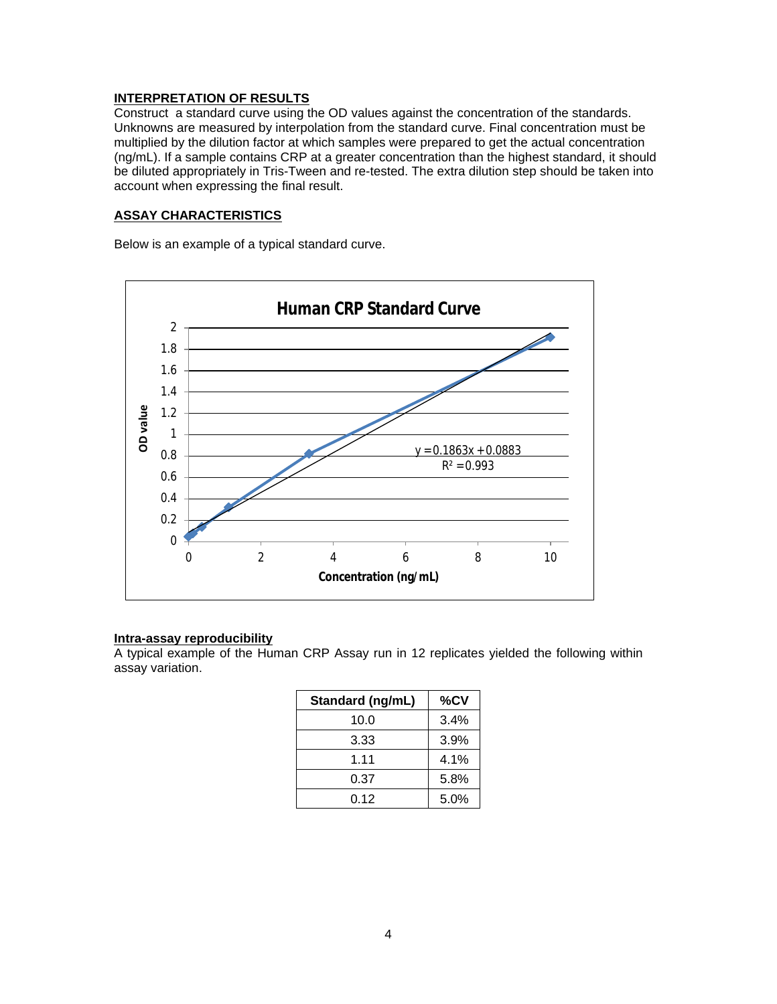# **INTERPRE T ATION OF RESULTS**

Construct a standard curve using the OD values against the concentration of the standards. Unknowns are measured by interpolation from the standard curve. Final concen tration must be multiplied by the dilution factor at which samples were prepa red to get the actual concentration ( n g / m L ) . If a sample contains CRP at a greater concentration than the highest standard, it should be diluted appropriately in Tris-Tween and re-tested. The extra dilution step should be taken into account when expressing the final result.

## <u>ASSAY CHARACTERISTICS</u>

Below is an example of a typical standard curve.



# **Intra-assay reproducibility**

A typical example of the Human CRP Assay run in 12 replicates yielded the following within assay variation.

| Standard (ng/mL) | %CV  |
|------------------|------|
| 10.0             | 3.4% |
| 3.33             | 3.9% |
| 1.11             | 4.1% |
| 0.37             | 5.8% |
| 0.12             | 5.0% |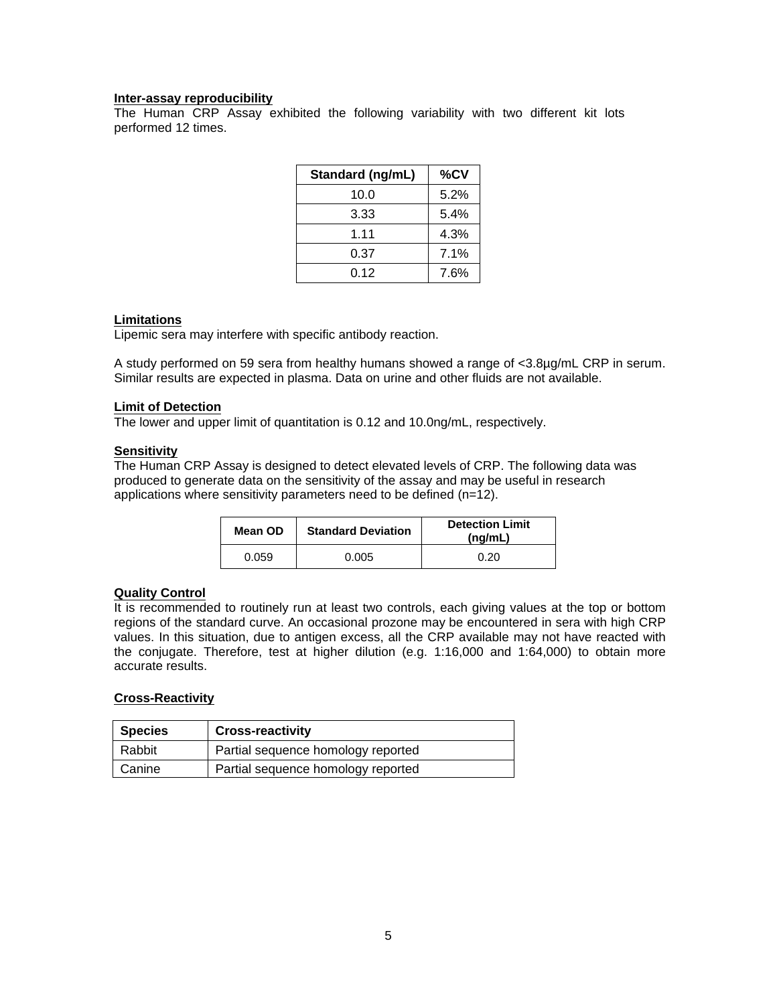## **Inter-assay reproducibility**

The Human CRP Assay exhibited the following variability with two different kit lots performed 12 times.

| Standard (ng/mL) | %CV  |
|------------------|------|
| 10.0             | 5.2% |
| 3.33             | 5.4% |
| 1.11             | 4.3% |
| 0.37             | 7.1% |
| 0.12             | 7.6% |

#### **Limitations**

Lipemic sera may interfere with specific antibody reaction.

A study performed on 59 sera from healthy humans showed a range of <3.8µg/mL CRP in serum. Similar results are expected in plasma. Data on urine and other fluids are not available.

#### **Limit of Detection**

The lower and upper limit of quantitation is 0.12 and 10.0ng/mL, respectively.

#### **Sensitivity**

The Human CRP Assay is designed to detect elevated levels of CRP. The following data was produced to generate data on the sensitivity of the assay and may be useful in research applications where sensitivity parameters need to be defined (n=12).

| Mean OD | <b>Standard Deviation</b> | <b>Detection Limit</b><br>(nq/mL) |
|---------|---------------------------|-----------------------------------|
| 0.059   | 0.005                     | 0.20                              |

## **Quality Control**

It is recommended to routinely run at least two controls, each giving values at the top or bottom regions of the standard curve. An occasional prozone may be encountered in sera with high CRP values. In this situation, due to antigen excess, all the CRP available may not have reacted with the conjugate. Therefore, test at higher dilution (e.g. 1:16,000 and 1:64,000) to obtain more accurate results.

## **Cross-Reactivity**

| <b>Species</b> | <b>Cross-reactivity</b>            |
|----------------|------------------------------------|
| Rabbit         | Partial sequence homology reported |
| l Canine       | Partial sequence homology reported |